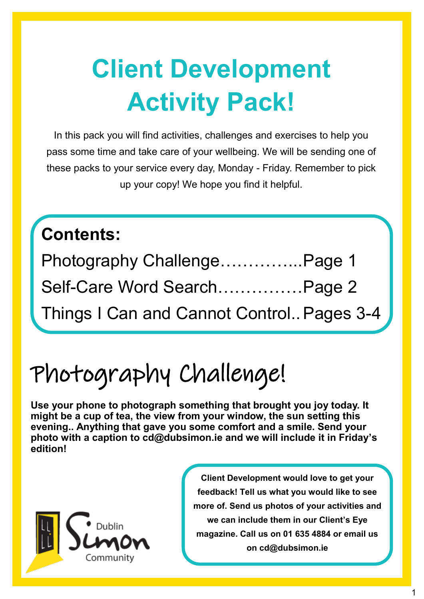## **Client Development Activity Pack!**

In this pack you will find activities, challenges and exercises to help you pass some time and take care of your wellbeing. We will be sending one of these packs to your service every day, Monday - Friday. Remember to pick up your copy! We hope you find it helpful.

#### **Contents:**

| Photography ChallengePage 1               |  |
|-------------------------------------------|--|
| Self-Care Word SearchPage 2               |  |
| Things I Can and Cannot Control Pages 3-4 |  |

### Photography Challenge!

**Use your phone to photograph something that brought you joy today. It might be a cup of tea, the view from your window, the sun setting this evening.. Anything that gave you some comfort and a smile. Send your photo with a caption to cd@dubsimon.ie and we will include it in Friday's edition!**



**Client Development would love to get your feedback! Tell us what you would like to see more of. Send us photos of your activities and we can include them in our Client's Eye magazine. Call us on 01 635 4884 or email us on cd@dubsimon.ie**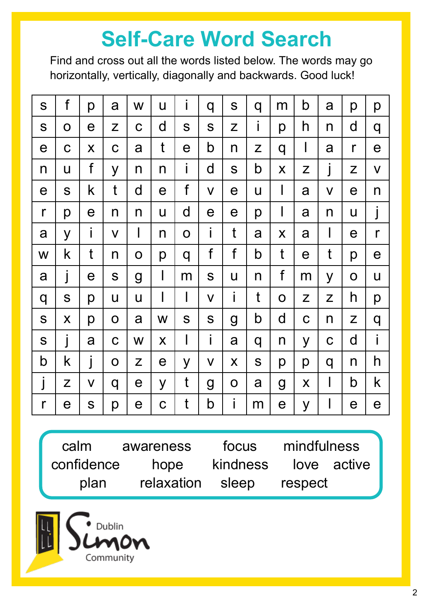### **Self-Care Word Search**

Find and cross out all the words listed below. The words may go horizontally, vertically, diagonally and backwards. Good luck!

| S            | f                     | p           | a            | W                     | U                  | İ            | q                       | S           | q | m                     | b                     | a            | p                     | p            |
|--------------|-----------------------|-------------|--------------|-----------------------|--------------------|--------------|-------------------------|-------------|---|-----------------------|-----------------------|--------------|-----------------------|--------------|
| S            | $\mathbf O$           | $\mathbf e$ | Z            | $\mathbf C$           | $\mathsf{d}$       | S            | S                       | Z           | İ | p                     | h                     | n            | d                     | q            |
| $\mathbf e$  | $\mathbf C$           | X           | $\mathbf C$  | a                     | t                  | $\mathbf e$  | b                       | n           | Z | q                     | $\mathsf I$           | a            | $\mathsf{r}$          | $\mathbf e$  |
| n            | U                     | $\mathsf f$ | y            | n                     | n                  | İ            | $\mathsf{d}$            | S           | b | X                     | Z                     | j            | Z                     | $\mathsf{V}$ |
| $\mathbf e$  | S                     | k           | t            | $\mathsf{d}$          | $\mathbf e$        | f            | $\overline{\mathsf{V}}$ | $\mathbf e$ | U | $\mathbf{I}$          | a                     | $\mathsf{V}$ | $\mathbf e$           | n            |
| r            | p                     | е           | n            | n                     | $\mathsf{U}$       | $\mathsf{d}$ | $\boldsymbol{\theta}$   | $\mathbf e$ | p | $\mathbf{l}$          | a                     | n            | U                     | $\int$       |
| a            | y                     | İ           | $\mathsf{V}$ | $\mathsf{l}$          | n                  | $\mathbf 0$  | İ                       | t           | a | X                     | a                     | $\mathsf{I}$ | $\boldsymbol{\theta}$ | $\mathsf{r}$ |
| W            | k                     | t           | n            | $\mathsf O$           | p                  | q            | f                       | f           | b | t                     | $\boldsymbol{\theta}$ | t            | p                     | $\mathbf e$  |
| a            | j                     | $\mathbf e$ | S            | g                     | $\mathsf{l}$       | m            | S                       | U           | n | $f_{\rm}$             | m                     | y            | $\mathbf O$           | U            |
| q            | S                     | p           | U            | U                     | I                  | $\mathbf{I}$ | $\mathsf{V}$            | i           | t | $\mathbf O$           | Z                     | Z            | h                     | p            |
| S            | X                     | р           | $\mathbf O$  | a                     | W                  | S            | S                       | g           | b | d                     | $\mathbf C$           | n            | Z                     | q            |
| S            | j                     | a           | $\mathbf C$  | W                     | $\mathsf{X}% _{0}$ | $\mathsf I$  | i                       | a           | q | n                     | y                     | $\mathbf C$  | d                     | i            |
| b            | k                     | j           | $\mathbf O$  | Z                     | $\mathbf e$        | y            | $\mathsf{V}$            | X           | S | р                     | p                     | q            | n                     | h            |
| j            | Z                     | V           | q            | $\mathbf e$           | y                  | t            | g                       | O           | a | g                     | X                     | $\mathsf{I}$ | b                     | k            |
| $\mathsf{r}$ | $\boldsymbol{\Theta}$ | S           | p            | $\boldsymbol{\Theta}$ | $\mathbf C$        | t            | b                       | İ           | m | $\boldsymbol{\theta}$ | y                     | $\mathbf{I}$ | $\mathbf e$           | $\mathbf e$  |

calm awareness focus mindfulness confidence hope kindness love active plan relaxation sleep respect

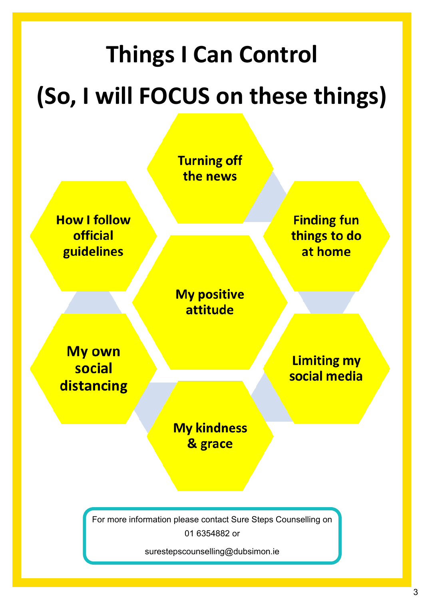# **Things I Can Control (So, I will FOCUS on these things)**

**Turning off** the news **How I follow Finding fun** official things to do guidelines at home **My positive** attitude **My own Limiting my** social social media distancing **My kindness** & grace

> For more information please contact Sure Steps Counselling on 01 6354882 or

> > surestepscounselling@dubsimon.ie